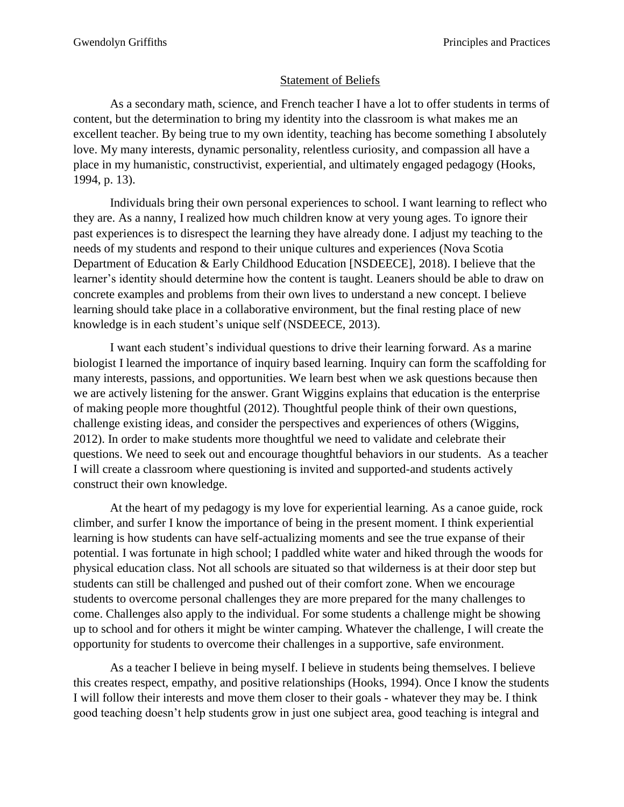## Statement of Beliefs

As a secondary math, science, and French teacher I have a lot to offer students in terms of content, but the determination to bring my identity into the classroom is what makes me an excellent teacher. By being true to my own identity, teaching has become something I absolutely love. My many interests, dynamic personality, relentless curiosity, and compassion all have a place in my humanistic, constructivist, experiential, and ultimately engaged pedagogy (Hooks, 1994, p. 13).

Individuals bring their own personal experiences to school. I want learning to reflect who they are. As a nanny, I realized how much children know at very young ages. To ignore their past experiences is to disrespect the learning they have already done. I adjust my teaching to the needs of my students and respond to their unique cultures and experiences (Nova Scotia Department of Education & Early Childhood Education [NSDEECE], 2018). I believe that the learner's identity should determine how the content is taught. Leaners should be able to draw on concrete examples and problems from their own lives to understand a new concept. I believe learning should take place in a collaborative environment, but the final resting place of new knowledge is in each student's unique self (NSDEECE, 2013).

I want each student's individual questions to drive their learning forward. As a marine biologist I learned the importance of inquiry based learning. Inquiry can form the scaffolding for many interests, passions, and opportunities. We learn best when we ask questions because then we are actively listening for the answer. Grant Wiggins explains that education is the enterprise of making people more thoughtful (2012). Thoughtful people think of their own questions, challenge existing ideas, and consider the perspectives and experiences of others (Wiggins, 2012). In order to make students more thoughtful we need to validate and celebrate their questions. We need to seek out and encourage thoughtful behaviors in our students. As a teacher I will create a classroom where questioning is invited and supported-and students actively construct their own knowledge.

At the heart of my pedagogy is my love for experiential learning. As a canoe guide, rock climber, and surfer I know the importance of being in the present moment. I think experiential learning is how students can have self-actualizing moments and see the true expanse of their potential. I was fortunate in high school; I paddled white water and hiked through the woods for physical education class. Not all schools are situated so that wilderness is at their door step but students can still be challenged and pushed out of their comfort zone. When we encourage students to overcome personal challenges they are more prepared for the many challenges to come. Challenges also apply to the individual. For some students a challenge might be showing up to school and for others it might be winter camping. Whatever the challenge, I will create the opportunity for students to overcome their challenges in a supportive, safe environment.

As a teacher I believe in being myself. I believe in students being themselves. I believe this creates respect, empathy, and positive relationships (Hooks, 1994). Once I know the students I will follow their interests and move them closer to their goals - whatever they may be. I think good teaching doesn't help students grow in just one subject area, good teaching is integral and